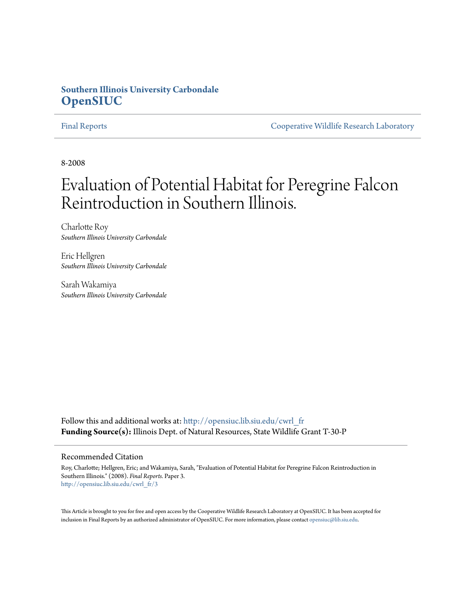## **Southern Illinois University Carbondale [OpenSIUC](http://opensiuc.lib.siu.edu?utm_source=opensiuc.lib.siu.edu%2Fcwrl_fr%2F3&utm_medium=PDF&utm_campaign=PDFCoverPages)**

[Final Reports](http://opensiuc.lib.siu.edu/cwrl_fr?utm_source=opensiuc.lib.siu.edu%2Fcwrl_fr%2F3&utm_medium=PDF&utm_campaign=PDFCoverPages) [Cooperative Wildlife Research Laboratory](http://opensiuc.lib.siu.edu/cwrl?utm_source=opensiuc.lib.siu.edu%2Fcwrl_fr%2F3&utm_medium=PDF&utm_campaign=PDFCoverPages)

8-2008

# Evaluation of Potential Habitat for Peregrine Falcon Reintroduction in Southern Illinois.

Charlotte Roy *Southern Illinois University Carbondale*

Eric Hellgren *Southern Illinois University Carbondale*

Sarah Wakamiya *Southern Illinois University Carbondale*

Follow this and additional works at: [http://opensiuc.lib.siu.edu/cwrl\\_fr](http://opensiuc.lib.siu.edu/cwrl_fr?utm_source=opensiuc.lib.siu.edu%2Fcwrl_fr%2F3&utm_medium=PDF&utm_campaign=PDFCoverPages) **Funding Source(s):** Illinois Dept. of Natural Resources, State Wildlife Grant T-30-P

#### Recommended Citation

Roy, Charlotte; Hellgren, Eric; and Wakamiya, Sarah, "Evaluation of Potential Habitat for Peregrine Falcon Reintroduction in Southern Illinois." (2008). *Final Reports.* Paper 3. [http://opensiuc.lib.siu.edu/cwrl\\_fr/3](http://opensiuc.lib.siu.edu/cwrl_fr/3?utm_source=opensiuc.lib.siu.edu%2Fcwrl_fr%2F3&utm_medium=PDF&utm_campaign=PDFCoverPages)

This Article is brought to you for free and open access by the Cooperative Wildlife Research Laboratory at OpenSIUC. It has been accepted for inclusion in Final Reports by an authorized administrator of OpenSIUC. For more information, please contact [opensiuc@lib.siu.edu](mailto:opensiuc@lib.siu.edu).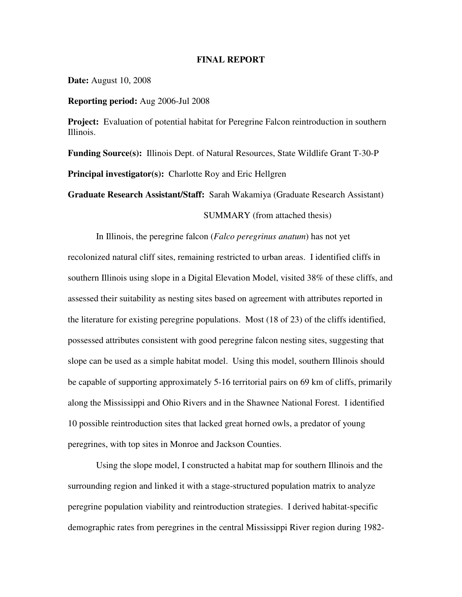#### **FINAL REPORT**

**Date:** August 10, 2008

**Reporting period:** Aug 2006-Jul 2008

**Project:** Evaluation of potential habitat for Peregrine Falcon reintroduction in southern Illinois.

**Funding Source(s):** Illinois Dept. of Natural Resources, State Wildlife Grant T-30-P **Principal investigator(s):** Charlotte Roy and Eric Hellgren

**Graduate Research Assistant/Staff:** Sarah Wakamiya (Graduate Research Assistant)

SUMMARY (from attached thesis)

In Illinois, the peregrine falcon (*Falco peregrinus anatum*) has not yet recolonized natural cliff sites, remaining restricted to urban areas. I identified cliffs in southern Illinois using slope in a Digital Elevation Model, visited 38% of these cliffs, and assessed their suitability as nesting sites based on agreement with attributes reported in the literature for existing peregrine populations. Most (18 of 23) of the cliffs identified, possessed attributes consistent with good peregrine falcon nesting sites, suggesting that slope can be used as a simple habitat model. Using this model, southern Illinois should be capable of supporting approximately 5-16 territorial pairs on 69 km of cliffs, primarily along the Mississippi and Ohio Rivers and in the Shawnee National Forest. I identified 10 possible reintroduction sites that lacked great horned owls, a predator of young peregrines, with top sites in Monroe and Jackson Counties.

Using the slope model, I constructed a habitat map for southern Illinois and the surrounding region and linked it with a stage-structured population matrix to analyze peregrine population viability and reintroduction strategies. I derived habitat-specific demographic rates from peregrines in the central Mississippi River region during 1982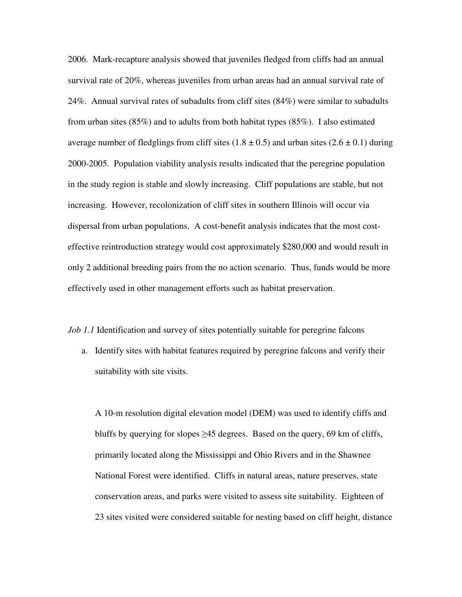2006. Mark-recapture analysis showed that juveniles fledged from cliffs had an annual survival rate of 20%, whereas juveniles from urban areas had an annual survival rate of 24%. Annual survival rates of subadults from cliff sites (84%) were similar to subadults from urban sites (85%) and to adults from both habitat types (85%). I also estimated average number of fledglings from cliff sites  $(1.8 \pm 0.5)$  and urban sites  $(2.6 \pm 0.1)$  during 2000-2005. Population viability analysis results indicated that the peregrine population in the study region is stable and slowly increasing. Cliff populations are stable, but not increasing. However, recolonization of cliff sites in southern Illinois will occur via dispersal from urban populations. A cost-benefit analysis indicates that the most costeffective reintroduction strategy would cost approximately \$280,000 and would result in only 2 additional breeding pairs from the no action scenario. Thus, funds would be more effectively used in other management efforts such as habitat preservation.

*Job 1.1* Identification and survey of sites potentially suitable for peregrine falcons

a. Identify sites with habitat features required by peregrine falcons and verify their suitability with site visits.

A 10-m resolution digital elevation model (DEM) was used to identify cliffs and bluffs by querying for slopes  $\geq$ 45 degrees. Based on the query, 69 km of cliffs, primarily located along the Mississippi and Ohio Rivers and in the Shawnee National Forest were identified. Cliffs in natural areas, nature preserves, state conservation areas, and parks were visited to assess site suitability. Eighteen of 23 sites visited were considered suitable for nesting based on cliff height, distance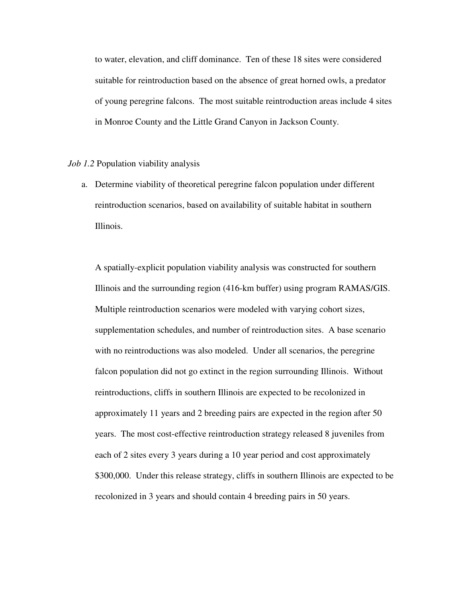to water, elevation, and cliff dominance. Ten of these 18 sites were considered suitable for reintroduction based on the absence of great horned owls, a predator of young peregrine falcons. The most suitable reintroduction areas include 4 sites in Monroe County and the Little Grand Canyon in Jackson County.

#### *Job 1.2* Population viability analysis

a. Determine viability of theoretical peregrine falcon population under different reintroduction scenarios, based on availability of suitable habitat in southern Illinois.

A spatially-explicit population viability analysis was constructed for southern Illinois and the surrounding region (416-km buffer) using program RAMAS/GIS. Multiple reintroduction scenarios were modeled with varying cohort sizes, supplementation schedules, and number of reintroduction sites. A base scenario with no reintroductions was also modeled. Under all scenarios, the peregrine falcon population did not go extinct in the region surrounding Illinois. Without reintroductions, cliffs in southern Illinois are expected to be recolonized in approximately 11 years and 2 breeding pairs are expected in the region after 50 years. The most cost-effective reintroduction strategy released 8 juveniles from each of 2 sites every 3 years during a 10 year period and cost approximately \$300,000. Under this release strategy, cliffs in southern Illinois are expected to be recolonized in 3 years and should contain 4 breeding pairs in 50 years.